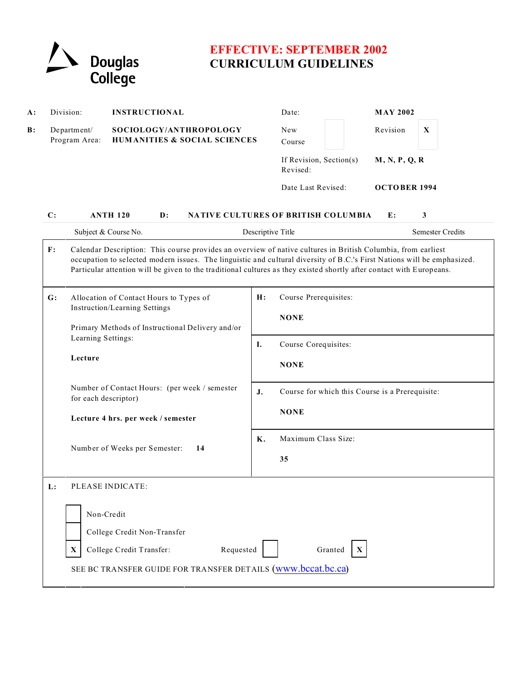

# **EFFECTIVE: SEPTEMBER 2002 CURRICULUM GUIDELINES**

| A : | Division:                                                                                  | <b>INSTRUCTIONAL</b>                                                                                                                                                                                                                                                                                                                                            |  |                   | Date:                                                                               | <b>MAY 2002</b> |                         |               |  |  |
|-----|--------------------------------------------------------------------------------------------|-----------------------------------------------------------------------------------------------------------------------------------------------------------------------------------------------------------------------------------------------------------------------------------------------------------------------------------------------------------------|--|-------------------|-------------------------------------------------------------------------------------|-----------------|-------------------------|---------------|--|--|
| B:  | Department/<br>Program Area:                                                               | SOCIOLOGY/ANTHROPOLOGY<br><b>HUMANITIES &amp; SOCIAL SCIENCES</b>                                                                                                                                                                                                                                                                                               |  |                   | New<br>Course                                                                       |                 | Revision                | $\mathbf X$   |  |  |
|     |                                                                                            |                                                                                                                                                                                                                                                                                                                                                                 |  |                   | If Revision, Section(s)<br>Revised:                                                 |                 |                         | M, N, P, Q, R |  |  |
|     |                                                                                            |                                                                                                                                                                                                                                                                                                                                                                 |  |                   | Date Last Revised:                                                                  |                 | <b>OCTOBER 1994</b>     |               |  |  |
| C:  | <b>ANTH 120</b><br><b>NATIVE CULTURES OF BRITISH COLUMBIA</b><br>$\mathbf{D}$ :<br>E:<br>3 |                                                                                                                                                                                                                                                                                                                                                                 |  |                   |                                                                                     |                 |                         |               |  |  |
|     | Subject & Course No.                                                                       |                                                                                                                                                                                                                                                                                                                                                                 |  | Descriptive Title |                                                                                     |                 | <b>Semester Credits</b> |               |  |  |
| F:  |                                                                                            | Calendar Description: This course provides an overview of native cultures in British Columbia, from earliest<br>occupation to selected modern issues. The linguistic and cultural diversity of B.C.'s First Nations will be emphasized.<br>Particular attention will be given to the traditional cultures as they existed shortly after contact with Europeans. |  |                   |                                                                                     |                 |                         |               |  |  |
| G:  |                                                                                            | Allocation of Contact Hours to Types of<br>Instruction/Learning Settings                                                                                                                                                                                                                                                                                        |  |                   | Course Prerequisites:                                                               |                 |                         |               |  |  |
|     |                                                                                            | Primary Methods of Instructional Delivery and/or<br>Learning Settings:                                                                                                                                                                                                                                                                                          |  |                   | <b>NONE</b>                                                                         |                 |                         |               |  |  |
|     |                                                                                            |                                                                                                                                                                                                                                                                                                                                                                 |  | Ι.                | Course Corequisites:                                                                |                 |                         |               |  |  |
|     |                                                                                            | Lecture<br>Number of Contact Hours: (per week / semester<br>for each descriptor)<br>Lecture 4 hrs. per week / semester                                                                                                                                                                                                                                          |  |                   | <b>NONE</b><br>J.<br>Course for which this Course is a Prerequisite:<br><b>NONE</b> |                 |                         |               |  |  |
|     |                                                                                            |                                                                                                                                                                                                                                                                                                                                                                 |  |                   |                                                                                     |                 |                         |               |  |  |
|     |                                                                                            |                                                                                                                                                                                                                                                                                                                                                                 |  |                   |                                                                                     |                 |                         |               |  |  |
|     | Number of Weeks per Semester:<br>14                                                        |                                                                                                                                                                                                                                                                                                                                                                 |  | Κ.                | Maximum Class Size:                                                                 |                 |                         |               |  |  |
|     |                                                                                            |                                                                                                                                                                                                                                                                                                                                                                 |  |                   | 35                                                                                  |                 |                         |               |  |  |
| L:  |                                                                                            | PLEASE INDICATE:                                                                                                                                                                                                                                                                                                                                                |  |                   |                                                                                     |                 |                         |               |  |  |
|     |                                                                                            | Non-Credit                                                                                                                                                                                                                                                                                                                                                      |  |                   |                                                                                     |                 |                         |               |  |  |
|     |                                                                                            | College Credit Non-Transfer                                                                                                                                                                                                                                                                                                                                     |  |                   |                                                                                     |                 |                         |               |  |  |
|     | X                                                                                          | College Credit Transfer:<br>Requested<br>Granted<br>X                                                                                                                                                                                                                                                                                                           |  |                   |                                                                                     |                 |                         |               |  |  |
|     |                                                                                            | SEE BC TRANSFER GUIDE FOR TRANSFER DETAILS (www.bccat.bc.ca)                                                                                                                                                                                                                                                                                                    |  |                   |                                                                                     |                 |                         |               |  |  |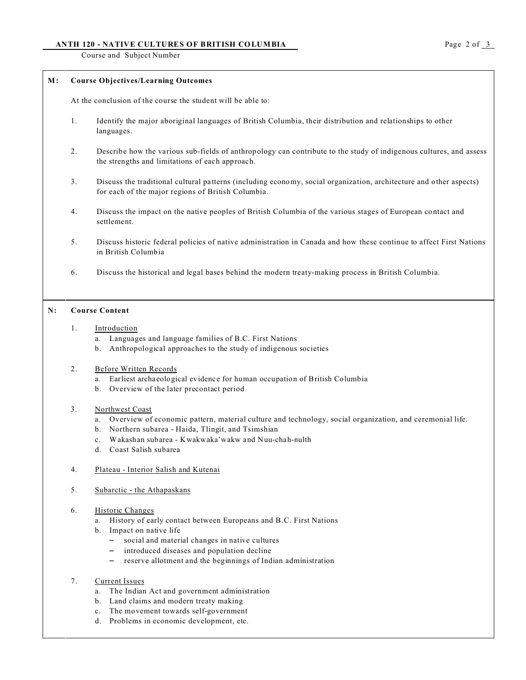## **ANTH 120 - NATIVE CULTURES OF BRITISH COLUMBIA** Page 2 of 3

Course and Subject Number

#### **M : Course Objectives/Learning Outcomes**

At the conclusion of the course the student will be able to:

- 1. Identify the major aboriginal languages of British Columbia, their distribution and relationships to other languages.
- 2. Describe how the various sub-fields of anthropology can contribute to the study of indigenous cultures, and assess the strengths and limitations of each approach.
- 3. Discuss the traditional cultural patterns (including economy, social organization, architecture and other aspects) for each of the major regions of British Columbia.
- 4. Discuss the impact on the native peoples of British Columbia of the various stages of European contact and settlement.
- 5. Discuss historic federal policies of native administration in Canada and how these continue to affect First Nations in British Columbia
- 6. Discuss the historical and legal bases behind the modern treaty-making process in British Columbia.

## **N: Course Content**

- 1. Introduction
	- a. Languages and language families of B.C. First Nations
	- b. Anthropological approaches to the study of indigenous societies
- 2. Before Written Records
	- a. Earliest archaeological evidence for human occupation of British Columbia
	- b. Overview of the later precontact period
- 3. Northwest Coast
	- a. Overview of economic pattern, material culture and technology, social organization, and ceremonial life.
	- b. Northern subarea Haida, Tlingit, and Tsimshian
	- c. Wakashan subarea Kwakwaka'wakw and Nuu-chah-nulth
	- d. Coast Salish subarea
- 4. Plateau Interior Salish and Kutenai
- 5. Subarctic the Athapaskans
- 6. Historic Changes
	- a. History of early contact between Europeans and B.C. First Nations
	- b. Impact on native life
		- $-$  social and material changes in native cultures
		- $\overline{\phantom{a}}$  introduced diseases and population decline
		- reserve allotment and the beginnings of Indian administration
- 7. Current Issues
	- a. The Indian Act and government administration
	- b. Land claims and modern treaty making
	- c. The movement towards self-government
	- d. Problems in economic development, etc.